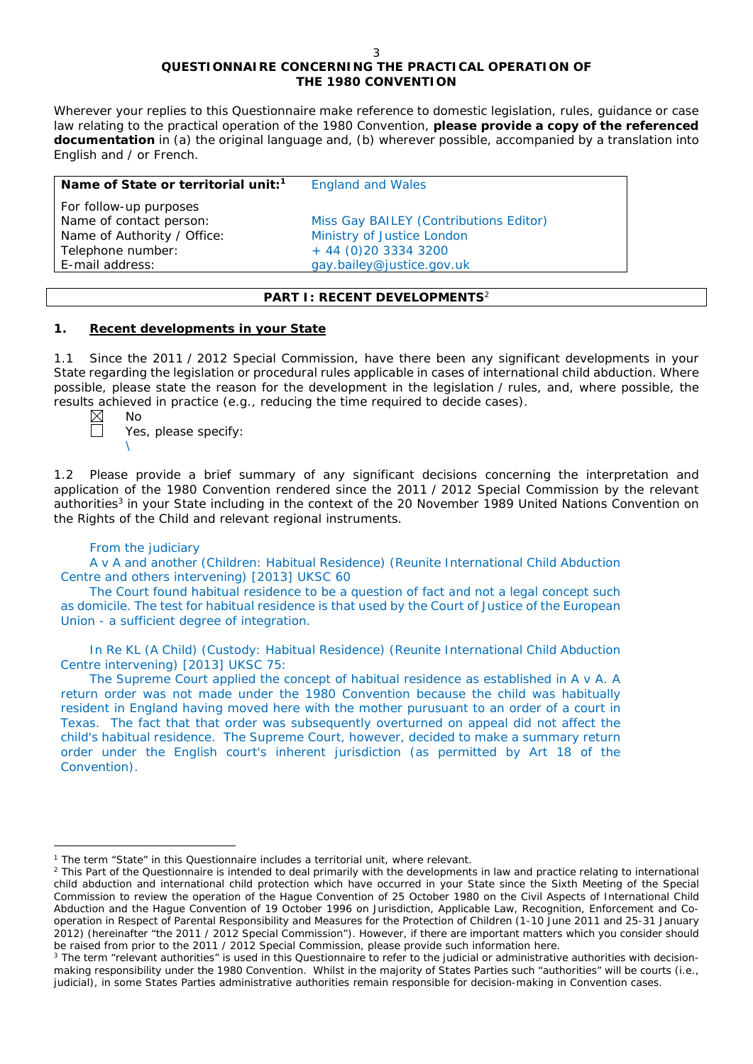# **QUESTIONNAIRE CONCERNING THE PRACTICAL OPERATION OF THE 1980 CONVENTION**

*Wherever your replies to this Questionnaire make reference to domestic legislation, rules, guidance or case*  law relating to the practical operation of the 1980 Convention, please provide a copy of the referenced *documentation in (a) the original language and, (b) wherever possible, accompanied by a translation into English and / or French.* 

| Name of State or territorial unit: <sup>1</sup> | <b>England and Wales</b>               |
|-------------------------------------------------|----------------------------------------|
| For follow-up purposes                          |                                        |
| Name of contact person:                         | Miss Gay BAILEY (Contributions Editor) |
| Name of Authority / Office:                     | Ministry of Justice London             |
| Telephone number:                               | $+ 44 (0)20 3334 3200$                 |
| E-mail address:                                 | gay.bailey@justice.gov.uk              |
|                                                 |                                        |

## **PART I: RECENT DEVELOPMENTS**<sup>2</sup>

## **1. Recent developments in your State**

1.1 Since the 2011 / 2012 Special Commission, have there been any significant developments in your State regarding the legislation or procedural rules applicable in cases of international child abduction. Where possible, please state the reason for the development in the legislation / rules, and, where possible, the results achieved in practice (*e.g.*, reducing the time required to decide cases).

No Yes, please specify: \

1.2 Please provide a brief summary of any significant decisions concerning the interpretation and application of the 1980 Convention rendered since the 2011 / 2012 Special Commission by the relevant authorities<sup>3</sup> in your State including in the context of the 20 November 1989 United Nations Convention on the Rights of the Child and relevant regional instruments.

## From the judiciary

A v A and another (Children: Habitual Residence) (Reunite International Child Abduction Centre and others intervening) [2013] UKSC 60

The Court found habitual residence to be a question of fact and not a legal concept such as domicile. The test for habitual residence is that used by the Court of Justice of the European Union - a sufficient degree of integration.

In Re KL (A Child) (Custody: Habitual Residence) (Reunite International Child Abduction Centre intervening) [2013] UKSC 75:

The Supreme Court applied the concept of habitual residence as established in A v A. A return order was not made under the 1980 Convention because the child was habitually resident in England having moved here with the mother purusuant to an order of a court in Texas. The fact that that order was subsequently overturned on appeal did not affect the child's habitual residence. The Supreme Court, however, decided to make a summary return order under the English court's inherent jurisdiction (as permitted by Art 18 of the Convention).

 $\overline{a}$ <sup>1</sup> The term "State" in this Questionnaire includes a territorial unit, where relevant.

<sup>&</sup>lt;sup>2</sup> This Part of the Questionnaire is intended to deal primarily with the developments in law and practice relating to international child abduction and international child protection which have occurred in your State since the Sixth Meeting of the Special Commission to review the operation of the *Hague Convention of 25 October 1980 on the Civil Aspects of International Child Abduction* and the *Hague Convention of 19 October 1996 on Jurisdiction, Applicable Law, Recognition, Enforcement and Cooperation in Respect of Parental Responsibility and Measures for the Protection of Children* (1-10 June 2011 and 25-31 January 2012) (hereinafter "the 2011 / 2012 Special Commission"). However, if there are important matters which you consider should be raised from *prior to* the 2011 / 2012 Special Commission, please provide such information here.

<sup>&</sup>lt;sup>3</sup> The term "relevant authorities" is used in this Questionnaire to refer to the judicial or administrative authorities with decisionmaking responsibility under the 1980 Convention. Whilst in the majority of States Parties such "authorities" will be courts (*i.e.*, judicial), in some States Parties administrative authorities remain responsible for decision-making in Convention cases.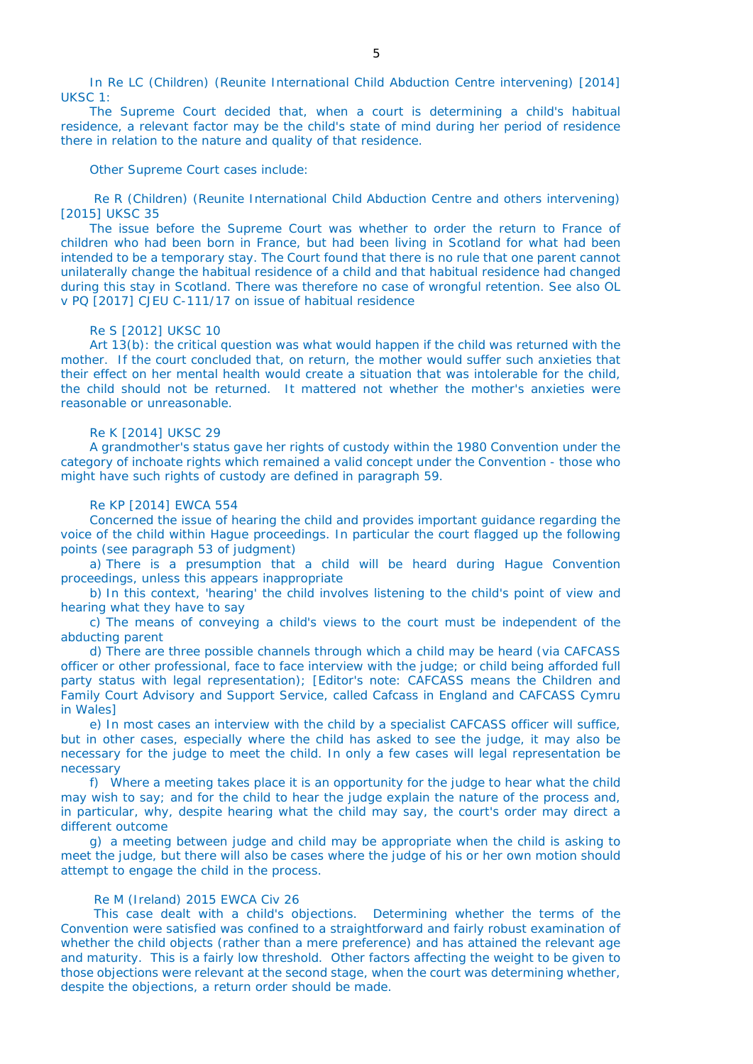In Re LC (Children) (Reunite International Child Abduction Centre intervening) [2014] UKSC 1:

The Supreme Court decided that, when a court is determining a child's habitual residence, a relevant factor may be the child's state of mind during her period of residence there in relation to the nature and quality of that residence.

Other Supreme Court cases include:

Re R (Children) (Reunite International Child Abduction Centre and others intervening) [2015] UKSC 35

The issue before the Supreme Court was whether to order the return to France of children who had been born in France, but had been living in Scotland for what had been intended to be a temporary stay. The Court found that there is no rule that one parent cannot unilaterally change the habitual residence of a child and that habitual residence had changed during this stay in Scotland. There was therefore no case of wrongful retention. See also OL v PQ [2017] CJEU C-111/17 on issue of habitual residence

### Re S [2012] UKSC 10

Art 13(b): the critical question was what would happen if the child was returned with the mother. If the court concluded that, on return, the mother would suffer such anxieties that their effect on her mental health would create a situation that was intolerable for the child, the child should not be returned. It mattered not whether the mother's anxieties were reasonable or unreasonable.

#### Re K [2014] UKSC 29

A grandmother's status gave her rights of custody within the 1980 Convention under the category of inchoate rights which remained a valid concept under the Convention - those who might have such rights of custody are defined in paragraph 59.

## Re KP [2014] EWCA 554

Concerned the issue of hearing the child and provides important guidance regarding the voice of the child within Hague proceedings. In particular the court flagged up the following points (see paragraph 53 of judgment)

a) There is a presumption that a child will be heard during Hague Convention proceedings, unless this appears inappropriate

b) In this context, 'hearing' the child involves listening to the child's point of view and hearing what they have to say

c) The means of conveying a child's views to the court must be independent of the abducting parent

d) There are three possible channels through which a child may be heard (via CAFCASS officer or other professional, face to face interview with the judge; or child being afforded full party status with legal representation); [Editor's note: CAFCASS means the Children and Family Court Advisory and Support Service, called Cafcass in England and CAFCASS Cymru in Wales]

e) In most cases an interview with the child by a specialist CAFCASS officer will suffice, but in other cases, especially where the child has asked to see the judge, it may also be necessary for the judge to meet the child. In only a few cases will legal representation be necessary

f) Where a meeting takes place it is an opportunity for the judge to hear what the child may wish to say; and for the child to hear the judge explain the nature of the process and, in particular, why, despite hearing what the child may say, the court's order may direct a different outcome

g) a meeting between judge and child may be appropriate when the child is asking to meet the judge, but there will also be cases where the judge of his or her own motion should attempt to engage the child in the process.

### Re M (Ireland) 2015 EWCA Civ 26

This case dealt with a child's objections. Determining whether the terms of the Convention were satisfied was confined to a straightforward and fairly robust examination of whether the child objects (rather than a mere preference) and has attained the relevant age and maturity. This is a fairly low threshold. Other factors affecting the weight to be given to those objections were relevant at the second stage, when the court was determining whether, despite the objections, a return order should be made.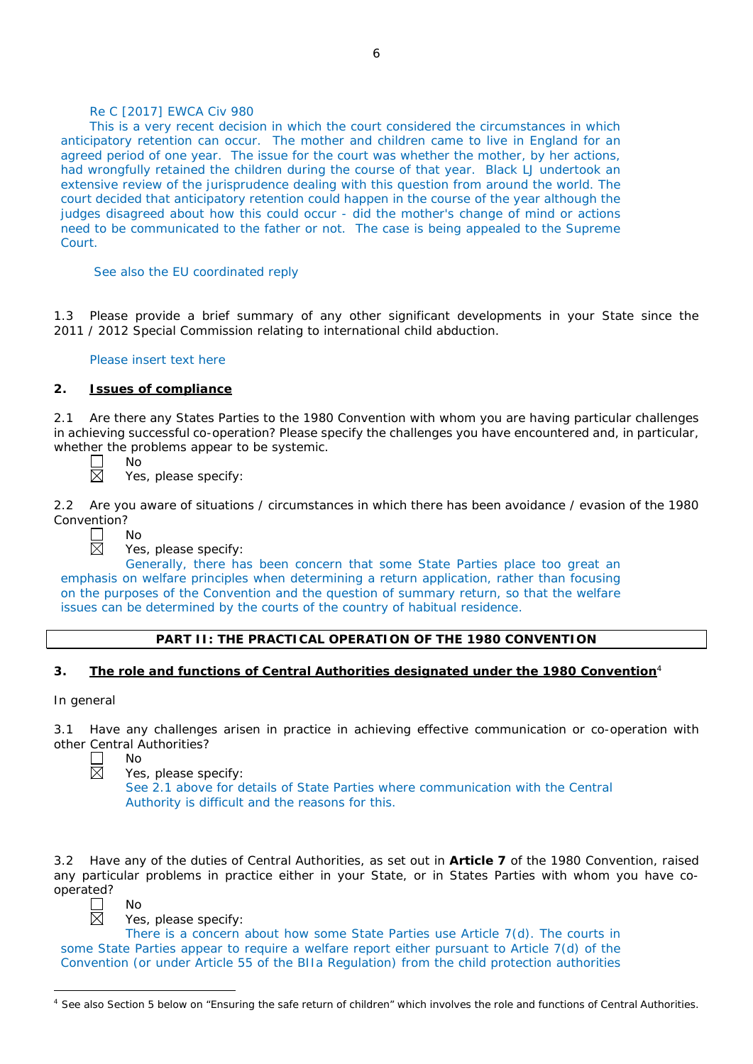# Re C [2017] EWCA Civ 980

This is a very recent decision in which the court considered the circumstances in which anticipatory retention can occur. The mother and children came to live in England for an agreed period of one year. The issue for the court was whether the mother, by her actions, had wrongfully retained the children during the course of that year. Black LJ undertook an extensive review of the jurisprudence dealing with this question from around the world. The court decided that anticipatory retention could happen in the course of the year although the judges disagreed about how this could occur - did the mother's change of mind or actions need to be communicated to the father or not. The case is being appealed to the Supreme Court.

### See also the EU coordinated reply

1.3 Please provide a brief summary of any other significant developments in your State since the 2011 / 2012 Special Commission relating to international child abduction.

### Please insert text here

## **2. Issues of compliance**

2.1 Are there any States Parties to the 1980 Convention with whom you are having particular challenges in achieving successful co-operation? Please specify the challenges you have encountered and, in particular, whether the problems appear to be systemic.<br>  $\Box$  No<br>  $\boxtimes$  Yes, please specify:



No Yes, please specify:

2.2 Are you aware of situations / circumstances in which there has been avoidance / evasion of the 1980 Convention?



No

Yes, please specify:

Generally, there has been concern that some State Parties place too great an emphasis on welfare principles when determining a return application, rather than focusing on the purposes of the Convention and the question of summary return, so that the welfare issues can be determined by the courts of the country of habitual residence.

### **PART II: THE PRACTICAL OPERATION OF THE 1980 CONVENTION**

## **3. The role and functions of Central Authorities designated under the 1980 Convention**<sup>4</sup>

### *In general*

3.1 Have any challenges arisen in practice in achieving effective communication or co-operation with other Central Authorities?

No

Yes, please specify:

See 2.1 above for details of State Parties where communication with the Central Authority is difficult and the reasons for this.

3.2 Have any of the duties of Central Authorities, as set out in **Article 7** of the 1980 Convention, raised any particular problems in practice either in your State, or in States Parties with whom you have cooperated? No



 $\overline{a}$ 

Yes, please specify:

There is a concern about how some State Parties use Article 7(d). The courts in some State Parties appear to require a welfare report either pursuant to Article 7(d) of the Convention (or under Article 55 of the BIIa Regulation) from the child protection authorities

<sup>&</sup>lt;sup>4</sup> See also Section 5 below on "Ensuring the safe return of children" which involves the role and functions of Central Authorities.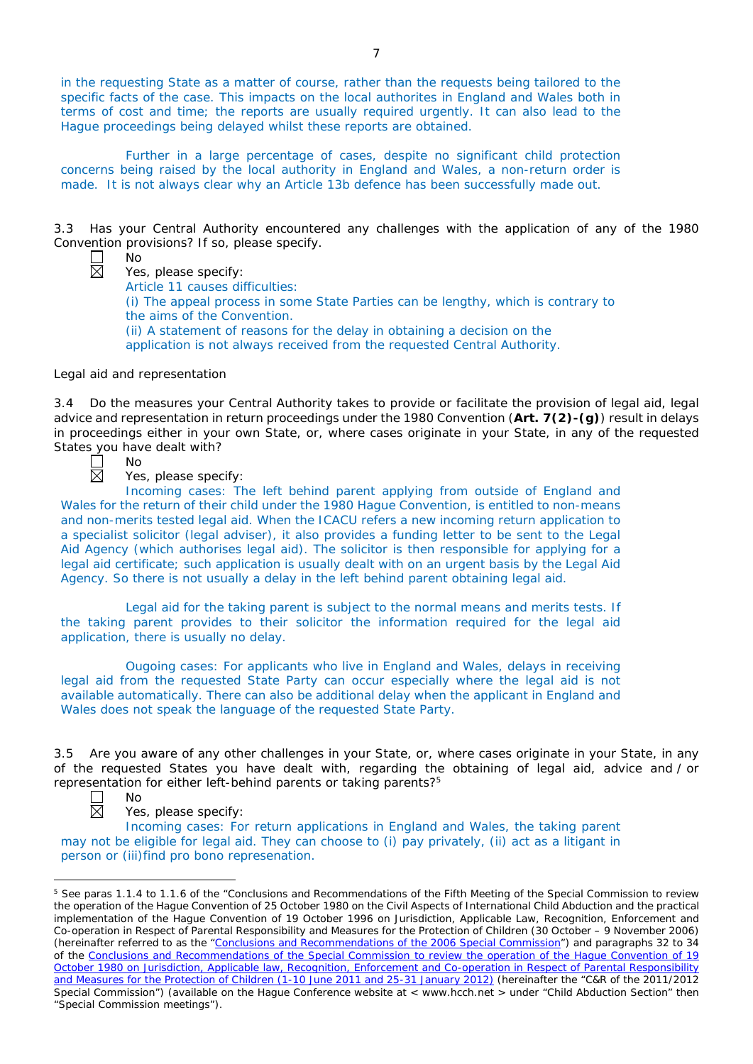in the requesting State as a matter of course, rather than the requests being tailored to the specific facts of the case. This impacts on the local authorites in England and Wales both in terms of cost and time; the reports are usually required urgently. It can also lead to the Hague proceedings being delayed whilst these reports are obtained.

Further in a large percentage of cases, despite no significant child protection concerns being raised by the local authority in England and Wales, a non-return order is made. It is not always clear why an Article 13b defence has been successfully made out.

3.3 Has your Central Authority encountered any challenges with the application of any of the 1980 Convention provisions? If so, please specify.



Yes, please specify: Article 11 causes difficulties:

(i) The appeal process in some State Parties can be lengthy, which is contrary to the aims of the Convention. (ii) A statement of reasons for the delay in obtaining a decision on the

application is not always received from the requested Central Authority.

# *Legal aid and representation*

No

No

3.4 Do the measures your Central Authority takes to provide or facilitate the provision of legal aid, legal advice and representation in return proceedings under the 1980 Convention (**Art. 7(2)-(g)**) result in delays in proceedings either in your own State, or, where cases originate in your State, in any of the requested States you have dealt with?



Yes, please specify:

Incoming cases: The left behind parent applying from outside of England and Wales for the return of their child under the 1980 Hague Convention, is entitled to non-means and non-merits tested legal aid. When the ICACU refers a new incoming return application to a specialist solicitor (legal adviser), it also provides a funding letter to be sent to the Legal Aid Agency (which authorises legal aid). The solicitor is then responsible for applying for a legal aid certificate; such application is usually dealt with on an urgent basis by the Legal Aid Agency. So there is not usually a delay in the left behind parent obtaining legal aid.

Legal aid for the taking parent is subject to the normal means and merits tests. If the taking parent provides to their solicitor the information required for the legal aid application, there is usually no delay.

Ougoing cases: For applicants who live in England and Wales, delays in receiving legal aid from the requested State Party can occur especially where the legal aid is not available automatically. There can also be additional delay when the applicant in England and Wales does not speak the language of the requested State Party.

3.5 Are you aware of any other challenges in your State, or, where cases originate in your State, in any of the requested States you have dealt with, regarding the obtaining of legal aid, advice and / or representation for either left-behind parents or taking parents?<sup>5</sup> No



 $\overline{a}$ 

Yes, please specify:

Incoming cases: For return applications in England and Wales, the taking parent may not be eligible for legal aid. They can choose to (i) pay privately, (ii) act as a litigant in person or (iii)find pro bono represenation.

<sup>&</sup>lt;sup>5</sup> See paras 1.1.4 to 1.1.6 of the "Conclusions and Recommendations of the Fifth Meeting of the Special Commission to review the operation of the *Hague Convention of 25 October 1980 on the Civil Aspects of International Child Abduction* and the practical implementation of the *Hague Convention of 19 October 1996 on Jurisdiction, Applicable Law, Recognition, Enforcement and Co-operation in Respect of Parental Responsibility and Measures for the Protection of Children* (30 October – 9 November 2006) (hereinafter referred to as the ["Conclusions and Recommendations of the 2006 Special Commission"](https://assets.hcch.net/upload/concl28sc5_e.pdf)) and paragraphs 32 to 34 of the [Conclusions and Recommendations of the Special Commission](https://assets.hcch.net/upload/wop/concl28sc6_e.pdf) to review the operation of the Hague Convention of *19 [October 1980 on Jurisdiction, Applicable law, Recognition, Enforcement and Co-operation in Respect of Parental Responsibility](https://assets.hcch.net/upload/wop/concl28sc6_e.pdf)  [and Measures for the Protection of Children](https://assets.hcch.net/upload/wop/concl28sc6_e.pdf)* (1-10 June 2011 and 25-31 January 2012) (hereinafter the "C&R of the 2011/2012 Special Commission") (available on the Hague Conference website at < www.hcch.net > under "Child Abduction Section" then "Special Commission meetings").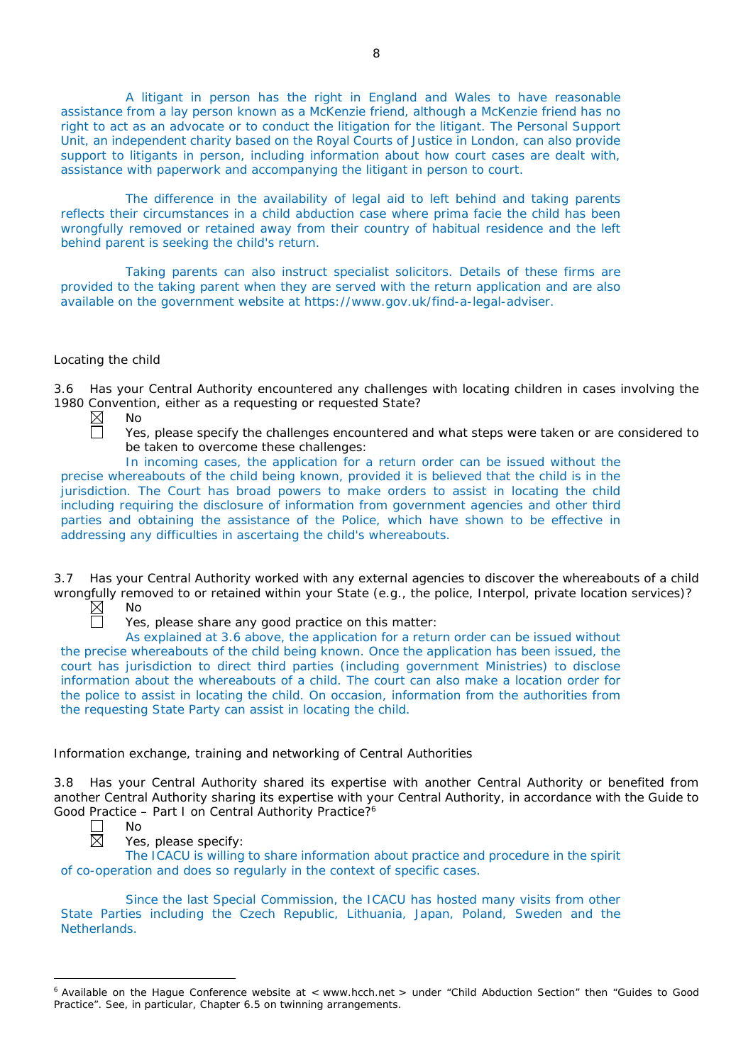A litigant in person has the right in England and Wales to have reasonable assistance from a lay person known as a McKenzie friend, although a McKenzie friend has no right to act as an advocate or to conduct the litigation for the litigant. The Personal Support Unit, an independent charity based on the Royal Courts of Justice in London, can also provide support to litigants in person, including information about how court cases are dealt with, assistance with paperwork and accompanying the litigant in person to court.

The difference in the availability of legal aid to left behind and taking parents reflects their circumstances in a child abduction case where prima facie the child has been wrongfully removed or retained away from their country of habitual residence and the left behind parent is seeking the child's return.

Taking parents can also instruct specialist solicitors. Details of these firms are provided to the taking parent when they are served with the return application and are also available on the government website at https://www.gov.uk/find-a-legal-adviser.

## *Locating the child*

3.6 Has your Central Authority encountered any challenges with locating children in cases involving the 1980 Convention, either as a requesting or requested State?<br>  $\boxtimes$  No<br>  $\Box$  Yes, please specify the challenges encountered are

- No
	- Yes, please specify the challenges encountered and what steps were taken or are considered to be taken to overcome these challenges:

In incoming cases, the application for a return order can be issued without the precise whereabouts of the child being known, provided it is believed that the child is in the jurisdiction. The Court has broad powers to make orders to assist in locating the child including requiring the disclosure of information from government agencies and other third parties and obtaining the assistance of the Police, which have shown to be effective in addressing any difficulties in ascertaing the child's whereabouts.

3.7 Has your Central Authority worked with any external agencies to discover the whereabouts of a child wrongfully removed to or retained within your State (*e.g.*, the police, Interpol, private location services)? No

 $\boxtimes$ 

Yes, please share any good practice on this matter:

As explained at 3.6 above, the application for a return order can be issued without the precise whereabouts of the child being known. Once the application has been issued, the court has jurisdiction to direct third parties (including government Ministries) to disclose information about the whereabouts of a child. The court can also make a location order for the police to assist in locating the child. On occasion, information from the authorities from the requesting State Party can assist in locating the child.

## *Information exchange, training and networking of Central Authorities*

3.8 Has your Central Authority shared its expertise with another Central Authority or benefited from another Central Authority sharing its expertise with your Central Authority, in accordance with the Guide to Good Practice – Part I on Central Authority Practice?6

 $\overline{a}$ 

No

Yes, please specify:

The ICACU is willing to share information about practice and procedure in the spirit of co-operation and does so regularly in the context of specific cases.

Since the last Special Commission, the ICACU has hosted many visits from other State Parties including the Czech Republic, Lithuania, Japan, Poland, Sweden and the Netherlands.

<sup>&</sup>lt;sup>6</sup> Available on the Hague Conference website at < www.hcch.net > under "Child Abduction Section" then "Guides to Good Practice". See, in particular, Chapter 6.5 on twinning arrangements.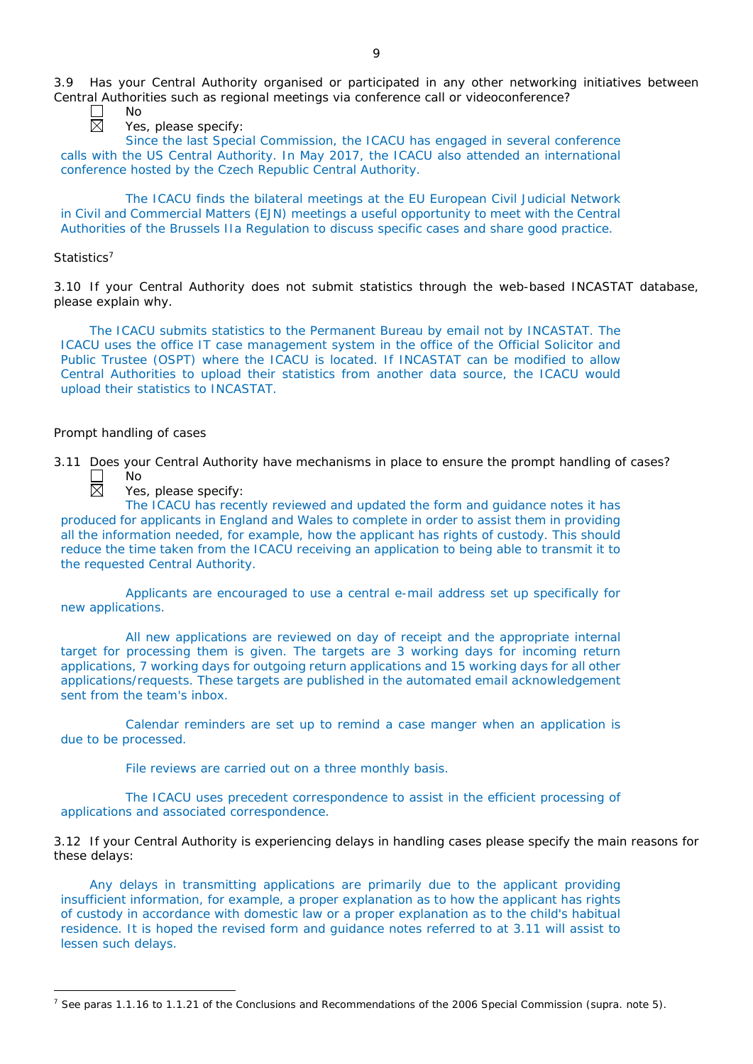3.9 Has your Central Authority organised or participated in any other networking initiatives between Central Authorities such as regional meetings via conference call or videoconference?

No

Yes, please specify:

Since the last Special Commission, the ICACU has engaged in several conference calls with the US Central Authority. In May 2017, the ICACU also attended an international conference hosted by the Czech Republic Central Authority.

The ICACU finds the bilateral meetings at the EU European Civil Judicial Network in Civil and Commercial Matters (EJN) meetings a useful opportunity to meet with the Central Authorities of the Brussels IIa Regulation to discuss specific cases and share good practice.

## *Statistics*<sup>7</sup>

 $\overline{a}$ 

3.10 If your Central Authority does not submit statistics through the web-based INCASTAT database, please explain why.

The ICACU submits statistics to the Permanent Bureau by email not by INCASTAT. The ICACU uses the office IT case management system in the office of the Official Solicitor and Public Trustee (OSPT) where the ICACU is located. If INCASTAT can be modified to allow Central Authorities to upload their statistics from another data source, the ICACU would upload their statistics to INCASTAT.

### *Prompt handling of cases*

3.11 Does your Central Authority have mechanisms in place to ensure the prompt handling of cases?<br>  $\Box$  No<br>
Yes, please specify: No

Yes, please specify:

The ICACU has recently reviewed and updated the form and guidance notes it has produced for applicants in England and Wales to complete in order to assist them in providing all the information needed, for example, how the applicant has rights of custody. This should reduce the time taken from the ICACU receiving an application to being able to transmit it to the requested Central Authority.

Applicants are encouraged to use a central e-mail address set up specifically for new applications.

All new applications are reviewed on day of receipt and the appropriate internal target for processing them is given. The targets are 3 working days for incoming return applications, 7 working days for outgoing return applications and 15 working days for all other applications/requests. These targets are published in the automated email acknowledgement sent from the team's inbox.

Calendar reminders are set up to remind a case manger when an application is due to be processed.

File reviews are carried out on a three monthly basis.

The ICACU uses precedent correspondence to assist in the efficient processing of applications and associated correspondence.

3.12 If your Central Authority is experiencing delays in handling cases please specify the main reasons for these delays:

Any delays in transmitting applications are primarily due to the applicant providing insufficient information, for example, a proper explanation as to how the applicant has rights of custody in accordance with domestic law or a proper explanation as to the child's habitual residence. It is hoped the revised form and guidance notes referred to at 3.11 will assist to lessen such delays.

<sup>7</sup> See paras 1.1.16 to 1.1.21 of the Conclusions and Recommendations of the 2006 Special Commission (*supra.* note 5).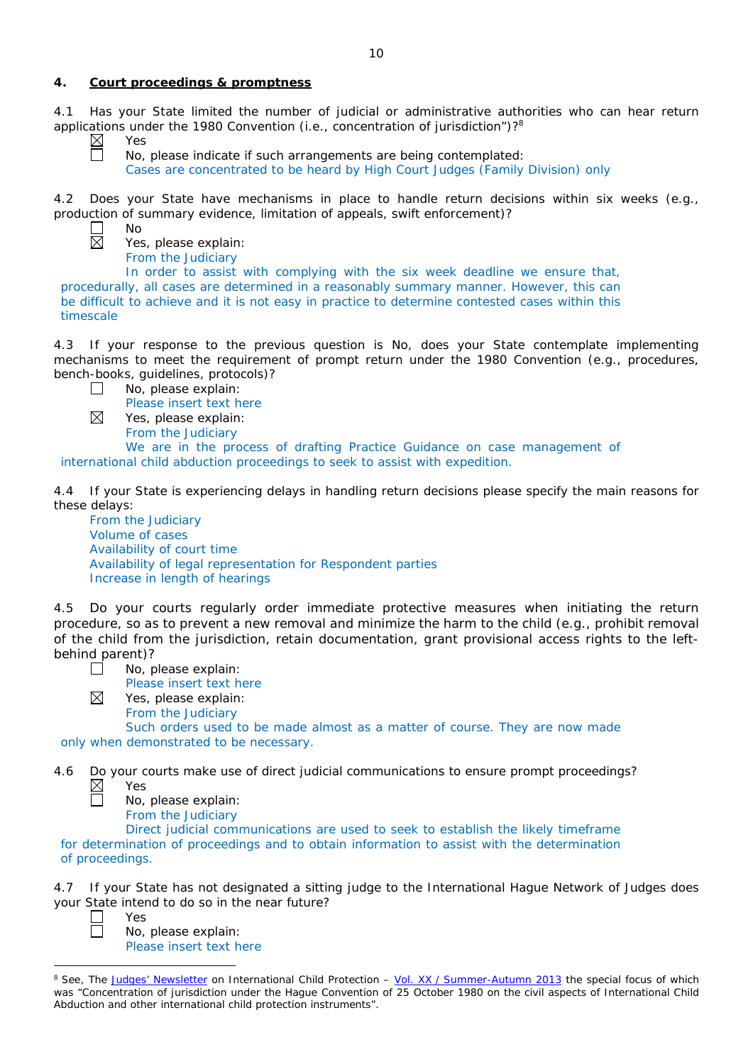## **4. Court proceedings & promptness**

4.1 Has your State limited the number of judicial or administrative authorities who can hear return applications under the 1980 Convention (*i.e.*, concentration of jurisdiction")?8

Yes

No

No, please indicate if such arrangements are being contemplated: Cases are concentrated to be heard by High Court Judges (Family Division) only

4.2 Does your State have mechanisms in place to handle return decisions within six weeks (*e.g.*, production of summary evidence, limitation of appeals, swift enforcement)?

⊠

Yes, please explain: From the Judiciary

In order to assist with complying with the six week deadline we ensure that, procedurally, all cases are determined in a reasonably summary manner. However, this can be difficult to achieve and it is not easy in practice to determine contested cases within this timescale

4.3 If your response to the previous question is No, does your State contemplate implementing mechanisms to meet the requirement of prompt return under the 1980 Convention (*e.g.*, procedures, bench-books, guidelines, protocols)?

 $\Box$ No, please explain:

Please insert text here

Yes, please explain: From the Judiciary

We are in the process of drafting Practice Guidance on case management of international child abduction proceedings to seek to assist with expedition.

4.4 If your State is experiencing delays in handling return decisions please specify the main reasons for these delays:

From the Judiciary Volume of cases Availability of court time Availability of legal representation for Respondent parties Increase in length of hearings

4.5 Do your courts regularly order immediate protective measures when initiating the return procedure, so as to prevent a new removal and minimize the harm to the child (*e.g.*, prohibit removal of the child from the jurisdiction, retain documentation, grant provisional access rights to the leftbehind parent)?

| $\Box$ |  | No, please explain: |
|--------|--|---------------------|
|--------|--|---------------------|

Please insert text here

Yes, please explain: From the Judiciary

Such orders used to be made almost as a matter of course. They are now made only when demonstrated to be necessary.

4.6 Do your courts make use of direct judicial communications to ensure prompt proceedings?  $\boxtimes$ Yes 亘

No, please explain:

From the Judiciary

Direct judicial communications are used to seek to establish the likely timeframe for determination of proceedings and to obtain information to assist with the determination of proceedings.

4.7 If your State has not designated a sitting judge to the International Hague Network of Judges does your State intend to do so in the near future?

⊠

Yes

No, please explain: Please insert text here

 $\overline{a}$ <sup>8</sup> See, *The [Judges' Newsletter](https://www.hcch.net/en/instruments/conventions/publications2/judges-newsletter)* on International Child Protection – Vol. XX / [Summer-Autumn 2013](https://assets.hcch.net/upload/newsletter/nl2013tome20en.pdf) the special focus of which was "Concentration of jurisdiction under the *Hague Convention of 25 October 1980 on the civil aspects of International Child Abduction* and other international child protection instruments".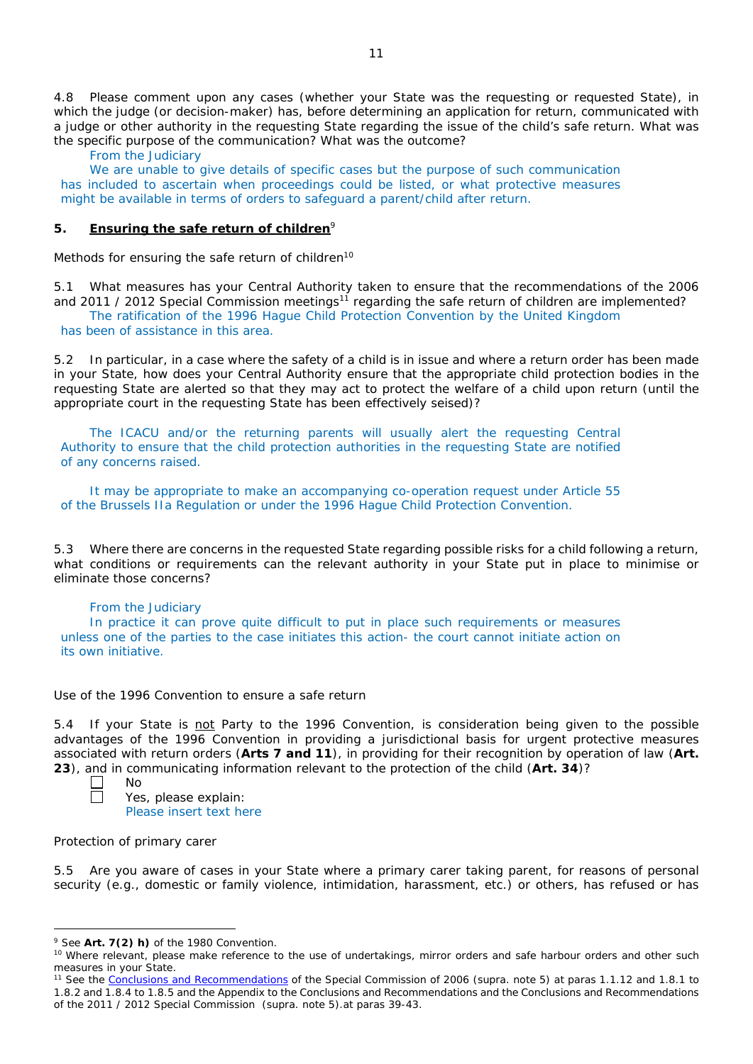4.8 Please comment upon any cases (whether your State was the requesting or requested State), in which the judge (or decision-maker) has, before determining an application for return, communicated with a judge or other authority in the requesting State regarding the issue of the child's safe return. What was the specific purpose of the communication? What was the outcome?

From the Judiciary

We are unable to give details of specific cases but the purpose of such communication has included to ascertain when proceedings could be listed, or what protective measures might be available in terms of orders to safeguard a parent/child after return.

## **5. Ensuring the safe return of children**<sup>9</sup>

*Methods for ensuring the safe return of children*<sup>10</sup>

5.1 What measures has your Central Authority taken to ensure that the recommendations of the 2006 and 2011 / 2012 Special Commission meetings<sup>11</sup> regarding the safe return of children are implemented? The ratification of the 1996 Hague Child Protection Convention by the United Kingdom has been of assistance in this area.

5.2 In particular, in a case where the safety of a child is in issue and where a return order has been made in your State, how does your Central Authority ensure that the appropriate child protection bodies in the *requesting* State are alerted so that they may act to protect the welfare of a child upon return (until the appropriate court in the requesting State has been effectively seised)?

The ICACU and/or the returning parents will usually alert the requesting Central Authority to ensure that the child protection authorities in the requesting State are notified of any concerns raised.

It may be appropriate to make an accompanying co-operation request under Article 55 of the Brussels IIa Regulation or under the 1996 Hague Child Protection Convention.

5.3 Where there are concerns in the requested State regarding possible risks for a child following a return, what conditions or requirements can the relevant authority in your State put in place to minimise or eliminate those concerns?

## From the Judiciary

In practice it can prove quite difficult to put in place such requirements or measures unless one of the parties to the case initiates this action- the court cannot initiate action on its own initiative.

## *Use of the 1996 Convention to ensure a safe return*

5.4 If your State is not Party to the 1996 Convention, is consideration being given to the possible advantages of the 1996 Convention in providing a jurisdictional basis for urgent protective measures associated with return orders (**Arts 7 and 11**), in providing for their recognition by operation of law (**Art. 23**), and in communicating information relevant to the protection of the child (**Art. 34**)?

 $\overline{a}$ 

Yes, please explain: Please insert text here

### *Protection of primary carer*

No

5.5 Are you aware of cases in your State where a primary carer taking parent, for reasons of personal security (*e.g.*, domestic or family violence, intimidation, harassment, etc.) or others, has refused or has

<sup>9</sup> See **Art. 7(2)** *h)* of the 1980 Convention.

<sup>&</sup>lt;sup>10</sup> Where relevant, please make reference to the use of undertakings, mirror orders and safe harbour orders and other such measures in your State.

<sup>11</sup> See the [Conclusions and Recommendations](https://assets.hcch.net/upload/concl28sc5_e.pdf) of the Special Commission of 2006 (*supra.* note 5) at paras 1.1.12 and 1.8.1 to 1.8.2 and 1.8.4 to 1.8.5 and the Appendix to the Conclusions and Recommendations and the [Conclusions and Recommendations](https://assets.hcch.net/upload/wop/concl28sc6_e.pdf)  of the 2011 / [2012 Special Commission](https://assets.hcch.net/upload/wop/concl28sc6_e.pdf) (*supra.* note 5).at paras 39-43.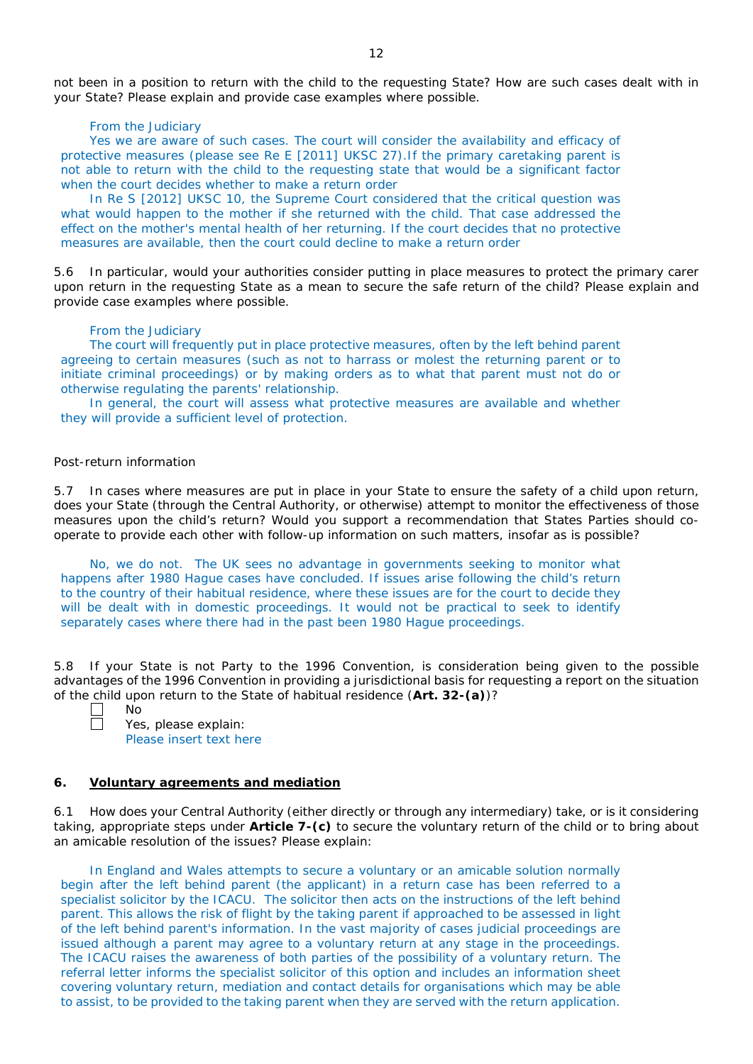not been in a position to return with the child to the requesting State? How are such cases dealt with in your State? Please explain and provide case examples where possible.

#### From the Judiciary

Yes we are aware of such cases. The court will consider the availability and efficacy of protective measures (please see Re E [2011] UKSC 27).If the primary caretaking parent is not able to return with the child to the requesting state that would be a significant factor when the court decides whether to make a return order

In Re S [2012] UKSC 10, the Supreme Court considered that the critical question was what would happen to the mother if she returned with the child. That case addressed the effect on the mother's mental health of her returning. If the court decides that no protective measures are available, then the court could decline to make a return order

5.6 In particular, would your authorities consider putting in place measures to protect the primary carer upon return in the requesting State as a mean to secure the safe return of the child? Please explain and provide case examples where possible.

### From the Judiciary

The court will frequently put in place protective measures, often by the left behind parent agreeing to certain measures (such as not to harrass or molest the returning parent or to initiate criminal proceedings) or by making orders as to what that parent must not do or otherwise regulating the parents' relationship.

In general, the court will assess what protective measures are available and whether they will provide a sufficient level of protection.

### *Post-return information*

5.7 In cases where measures are put in place in your State to ensure the safety of a child upon return, does your State (through the Central Authority, or otherwise) attempt to monitor the effectiveness of those measures upon the child's return? Would you support a recommendation that States Parties should cooperate to provide each other with follow-up information on such matters, insofar as is possible?

No, we do not. The UK sees no advantage in governments seeking to monitor what happens after 1980 Hague cases have concluded. If issues arise following the child's return to the country of their habitual residence, where these issues are for the court to decide they will be dealt with in domestic proceedings. It would not be practical to seek to identify separately cases where there had in the past been 1980 Hague proceedings.

5.8 If your State is not Party to the 1996 Convention, is consideration being given to the possible advantages of the 1996 Convention in providing a jurisdictional basis for requesting a report on the situation of the child upon return to the State of habitual residence (**Art. 32-(a)**)?

No Yes, please explain: Please insert text here

#### **6. Voluntary agreements and mediation**

6.1 How does your Central Authority (either directly or through any intermediary) take, or is it considering taking, appropriate steps under **Article 7-(c)** to secure the voluntary return of the child or to bring about an amicable resolution of the issues? Please explain:

In England and Wales attempts to secure a voluntary or an amicable solution normally begin after the left behind parent (the applicant) in a return case has been referred to a specialist solicitor by the ICACU. The solicitor then acts on the instructions of the left behind parent. This allows the risk of flight by the taking parent if approached to be assessed in light of the left behind parent's information. In the vast majority of cases judicial proceedings are issued although a parent may agree to a voluntary return at any stage in the proceedings. The ICACU raises the awareness of both parties of the possibility of a voluntary return. The referral letter informs the specialist solicitor of this option and includes an information sheet covering voluntary return, mediation and contact details for organisations which may be able to assist, to be provided to the taking parent when they are served with the return application.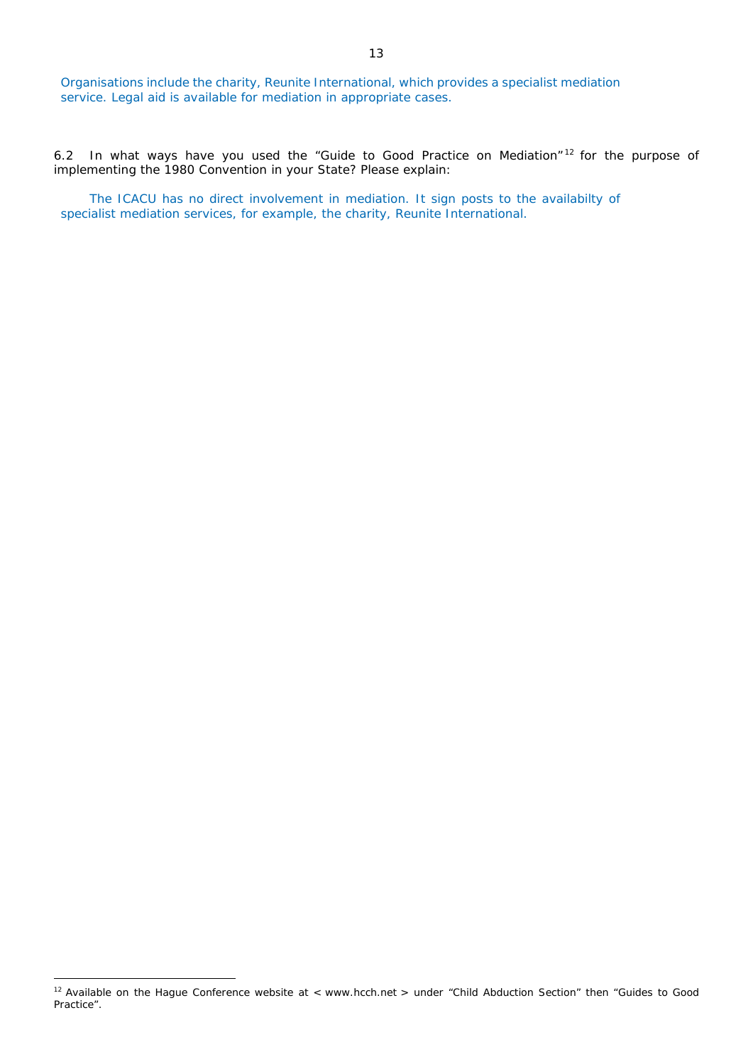Organisations include the charity, Reunite International, which provides a specialist mediation service. Legal aid is available for mediation in appropriate cases.

6.2 In what ways have you used the "Guide to Good Practice on Mediation" <sup>12</sup> for the purpose of implementing the 1980 Convention in your State? Please explain:

The ICACU has no direct involvement in mediation. It sign posts to the availabilty of specialist mediation services, for example, the charity, Reunite International.

 $\overline{a}$ 

<sup>&</sup>lt;sup>12</sup> Available on the Hague Conference website at < www.hcch.net > under "Child Abduction Section" then "Guides to Good Practice".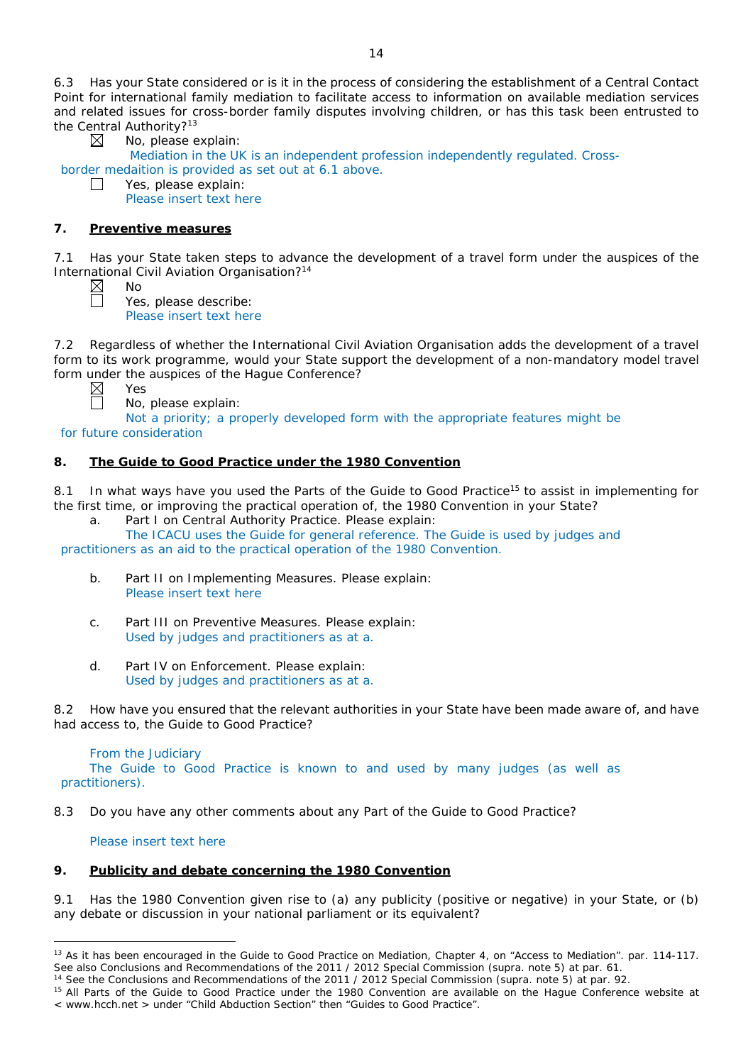6.3 Has your State considered or is it in the process of considering the establishment of a Central Contact Point for international family mediation to facilitate access to information on available mediation services and related issues for cross-border family disputes involving children, or has this task been entrusted to the Central Authority?<sup>13</sup>

No, please explain:

Mediation in the UK is an independent profession independently regulated. Crossborder medaition is provided as set out at 6.1 above.

 $\Box$ Yes, please explain:

⊠

Please insert text here

# **7. Preventive measures**

No

7.1 Has your State taken steps to advance the development of a travel form under the auspices of the International Civil Aviation Organisation?14

 $\boxtimes$  $\Box$ 

Yes, please describe: Please insert text here

7.2 Regardless of whether the International Civil Aviation Organisation adds the development of a travel form to its work programme, would your State support the development of a non-mandatory model travel form under the auspices of the Hague Conference?

Yes

No, please explain:

Not a priority; a properly developed form with the appropriate features might be

for future consideration

# **8. The Guide to Good Practice under the 1980 Convention**

8.1 In what ways have you used the Parts of the Guide to Good Practice<sup>15</sup> to assist in implementing for the first time, or improving the practical operation of, the 1980 Convention in your State?

a. Part I on Central Authority Practice. Please explain:

The ICACU uses the Guide for general reference. The Guide is used by judges and practitioners as an aid to the practical operation of the 1980 Convention.

- b. Part II on Implementing Measures. Please explain: Please insert text here
- c. Part III on Preventive Measures. Please explain: Used by judges and practitioners as at a.
- d. Part IV on Enforcement. Please explain: Used by judges and practitioners as at a.

8.2 How have you ensured that the relevant authorities in your State have been made aware of, and have had access to, the Guide to Good Practice?

From the Judiciary The Guide to Good Practice is known to and used by many judges (as well as practitioners).

8.3 Do you have any other comments about any Part of the Guide to Good Practice?

Please insert text here

# **9. Publicity and debate concerning the 1980 Convention**

9.1 Has the 1980 Convention given rise to (a) any publicity (positive or negative) in your State, or (b) any debate or discussion in your national parliament or its equivalent?

 $\overline{a}$ <sup>13</sup> As it has been encouraged in the Guide to Good Practice on Mediation, Chapter 4, on "Access to Mediation". par. 114-117. See also [Conclusions and Recommendations of the 2011](https://assets.hcch.net/upload/wop/concl28sc6_e.pdf) / 2012 Special Commission (*supra.* note 5) at par. 61.

<sup>14</sup> See the [Conclusions and Recommendations of the 2011](https://assets.hcch.net/upload/wop/concl28sc6_e.pdf) / 2012 Special Commission (*supra.* note 5) at par. 92.

<sup>&</sup>lt;sup>15</sup> All Parts of the Guide to Good Practice under the 1980 Convention are available on the Hague Conference website at < www.hcch.net > under "Child Abduction Section" then "Guides to Good Practice".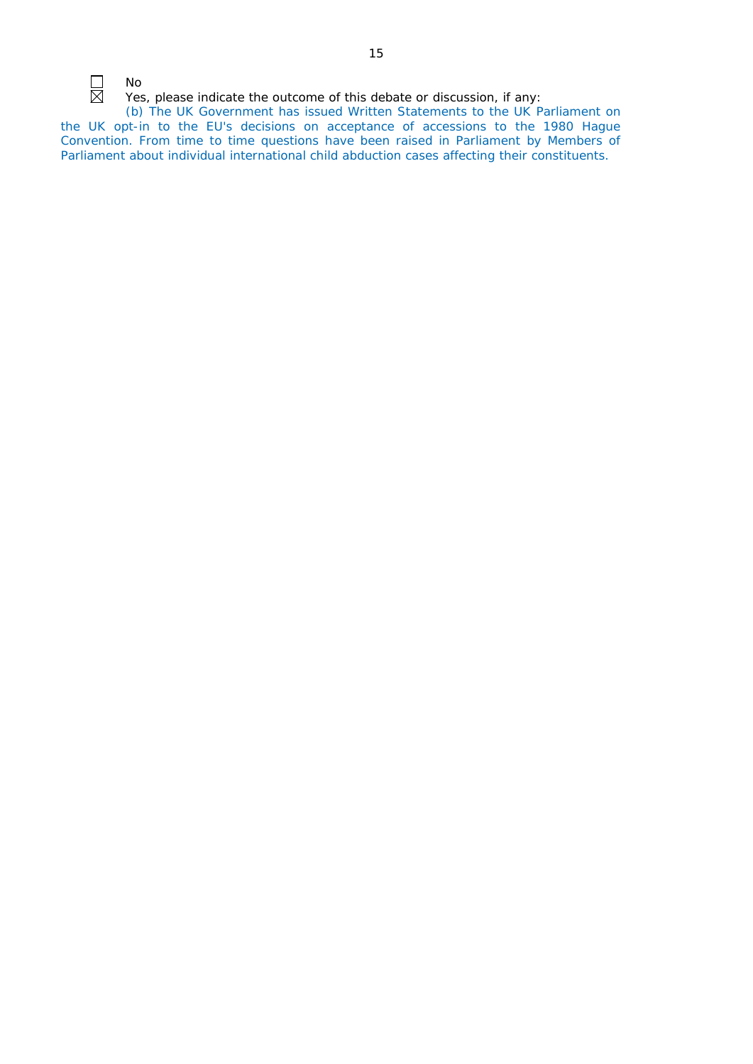No Yes, please indicate the outcome of this debate or discussion, if any:

(b) The UK Government has issued Written Statements to the UK Parliament on the UK opt-in to the EU's decisions on acceptance of accessions to the 1980 Hague Convention. From time to time questions have been raised in Parliament by Members of Parliament about individual international child abduction cases affecting their constituents.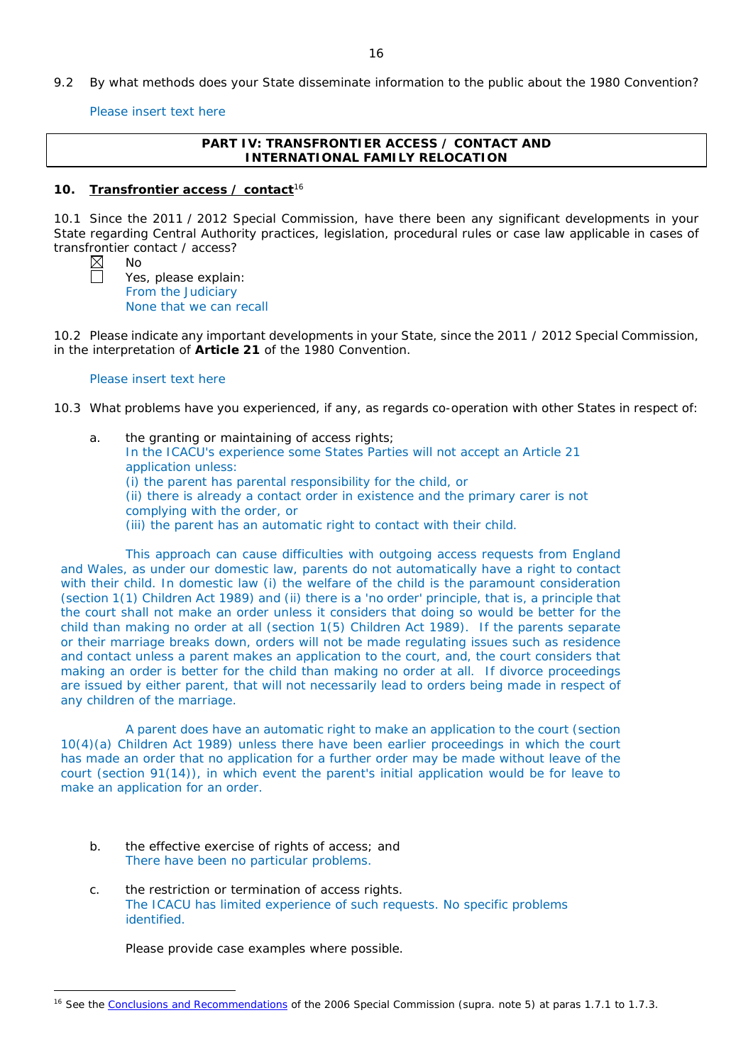9.2 By what methods does your State disseminate information to the public about the 1980 Convention?

Please insert text here

## **PART IV: TRANSFRONTIER ACCESS / CONTACT AND INTERNATIONAL FAMILY RELOCATION**

## **10. Transfrontier access / contact**<sup>16</sup>

10.1 Since the 2011 / 2012 Special Commission, have there been any significant developments in your State regarding Central Authority practices, legislation, procedural rules or case law applicable in cases of transfrontier contact / access?

 $\overline{a}$ 

No

Yes, please explain: From the Judiciary None that we can recall

10.2 Please indicate any important developments in your State, since the 2011 / 2012 Special Commission, in the interpretation of **Article 21** of the 1980 Convention.

### Please insert text here

10.3 What problems have you experienced, if any, as regards co-operation with other States in respect of:

a. the granting or maintaining of access rights; In the ICACU's experience some States Parties will not accept an Article 21 application unless: (i) the parent has parental responsibility for the child, or (ii) there is already a contact order in existence and the primary carer is not complying with the order, or (iii) the parent has an automatic right to contact with their child.

This approach can cause difficulties with outgoing access requests from England and Wales, as under our domestic law, parents do not automatically have a right to contact with their child. In domestic law (i) the welfare of the child is the paramount consideration (section 1(1) Children Act 1989) and (ii) there is a 'no order' principle, that is, a principle that the court shall not make an order unless it considers that doing so would be better for the child than making no order at all (section 1(5) Children Act 1989). If the parents separate or their marriage breaks down, orders will not be made regulating issues such as residence and contact unless a parent makes an application to the court, and, the court considers that making an order is better for the child than making no order at all. If divorce proceedings are issued by either parent, that will not necessarily lead to orders being made in respect of any children of the marriage.

A parent does have an automatic right to make an application to the court (section 10(4)(a) Children Act 1989) unless there have been earlier proceedings in which the court has made an order that no application for a further order may be made without leave of the court (section 91(14)), in which event the parent's initial application would be for leave to make an application for an order.

- b. the effective exercise of rights of access; and There have been no particular problems.
- c. the restriction or termination of access rights. The ICACU has limited experience of such requests. No specific problems identified.

Please provide case examples where possible.

<sup>16</sup> See the [Conclusions and Recommendations](https://assets.hcch.net/upload/concl28sc5_e.pdf) of the 2006 Special Commission (*supra.* note 5) at paras 1.7.1 to 1.7.3.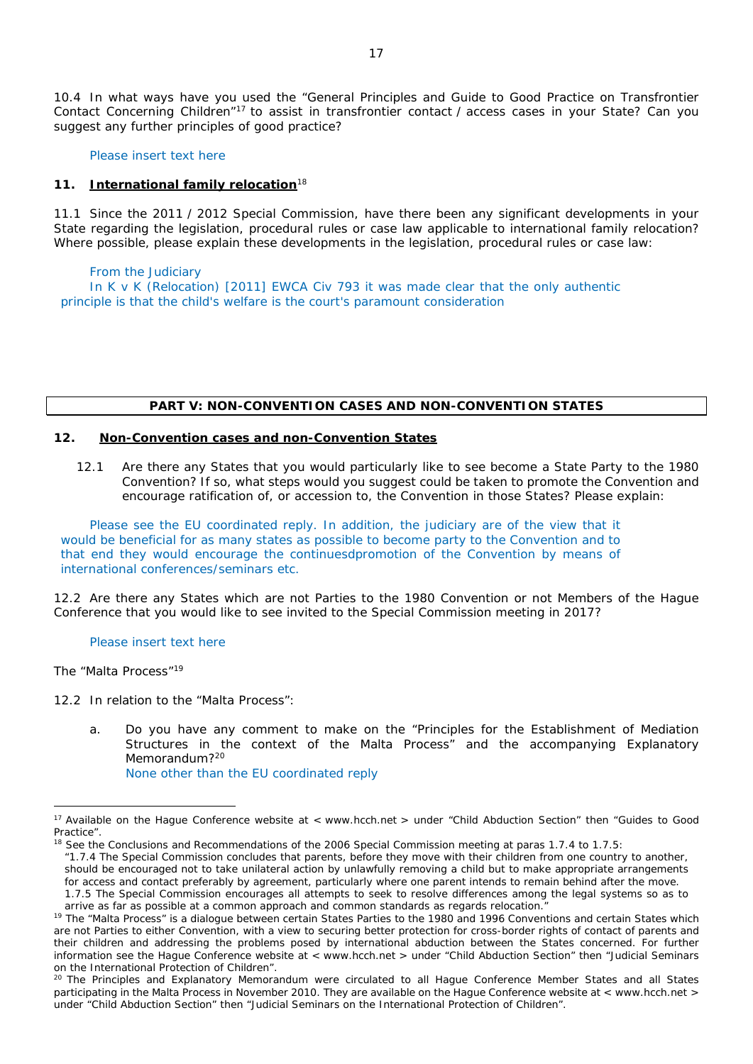10.4 In what ways have you used the "General Principles and Guide to Good Practice on Transfrontier Contact Concerning Children"17 to assist in transfrontier contact / access cases in your State? Can you suggest any further principles of good practice?

Please insert text here

### **11. International family relocation**<sup>18</sup>

11.1 Since the 2011 / 2012 Special Commission, have there been any significant developments in your State regarding the legislation, procedural rules or case law applicable to international family relocation? Where possible, please explain these developments in the legislation, procedural rules or case law:

From the Judiciary In K v K (Relocation) [2011] EWCA Civ 793 it was made clear that the only authentic principle is that the child's welfare is the court's paramount consideration

### **PART V: NON-CONVENTION CASES AND NON-CONVENTION STATES**

### **12. Non-Convention cases and non-Convention States**

12.1 Are there any States that you would particularly like to see become a State Party to the 1980 Convention? If so, what steps would you suggest could be taken to promote the Convention and encourage ratification of, or accession to, the Convention in those States? Please explain:

Please see the EU coordinated reply. In addition, the judiciary are of the view that it would be beneficial for as many states as possible to become party to the Convention and to that end they would encourage the continuesdpromotion of the Convention by means of international conferences/seminars etc.

12.2 Are there any States which are not Parties to the 1980 Convention or not Members of the Hague Conference that you would like to see invited to the Special Commission meeting in 2017?

Please insert text here

*The "Malta Process"*<sup>19</sup>

 $\overline{a}$ 

12.2 In relation to the "Malta Process":

a. Do you have any comment to make on the "Principles for the Establishment of Mediation Structures in the context of the Malta Process" and the accompanying Explanatory Memorandum?<sup>20</sup>

None other than the EU coordinated reply

<sup>&</sup>lt;sup>17</sup> Available on the Hague Conference website at < www.hcch.net > under "Child Abduction Section" then "Guides to Good Practice".

<sup>&</sup>lt;sup>18</sup> See the Conclusions and Recommendations of the 2006 Special Commission meeting at paras 1.7.4 to 1.7.5:

*<sup>&</sup>quot;*1.7.4 The Special Commission concludes that parents, before they move with their children from one country to another, should be encouraged not to take unilateral action by unlawfully removing a child but to make appropriate arrangements for access and contact preferably by agreement, particularly where one parent intends to remain behind after the move.

<sup>1.7.5</sup> The Special Commission encourages all attempts to seek to resolve differences among the legal systems so as to arrive as far as possible at a common approach and common standards as regards relocation."

<sup>&</sup>lt;sup>19</sup> The "Malta Process" is a dialoque between certain States Parties to the 1980 and 1996 Conventions and certain States which are not Parties to either Convention, with a view to securing better protection for cross-border rights of contact of parents and their children and addressing the problems posed by international abduction between the States concerned. For further information see the Hague Conference website at < www.hcch.net > under "Child Abduction Section" then "Judicial Seminars on the International Protection of Children".

<sup>&</sup>lt;sup>20</sup> The Principles and Explanatory Memorandum were circulated to all Hague Conference Member States and all States participating in the Malta Process in November 2010. They are available on the Hague Conference website at < www.hcch.net > under "Child Abduction Section" then "Judicial Seminars on the International Protection of Children".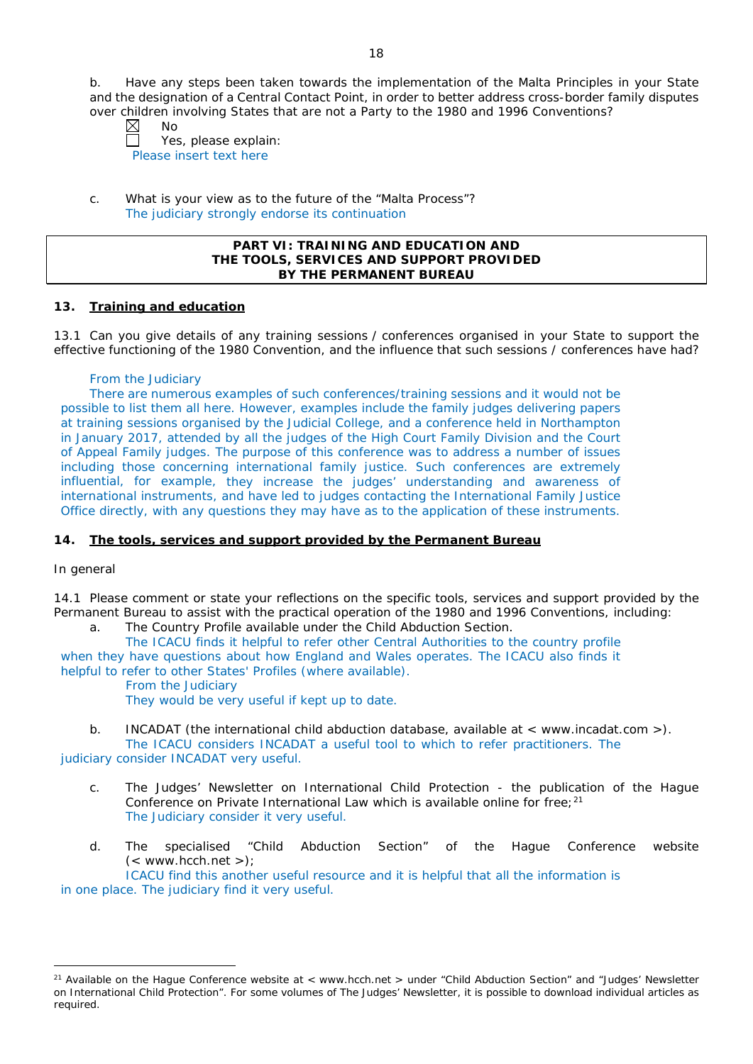b. Have any steps been taken towards the implementation of the Malta Principles in your State and the designation of a Central Contact Point, in order to better address cross-border family disputes over children involving States that are not a Party to the 1980 and 1996 Conventions?

| ⊠ | No |  |
|---|----|--|
|   |    |  |

 $\perp$ Yes, please explain: Please insert text here

c. What is your view as to the future of the "Malta Process"? The judiciary strongly endorse its continuation

### **PART VI: TRAINING AND EDUCATION AND THE TOOLS, SERVICES AND SUPPORT PROVIDED BY THE PERMANENT BUREAU**

## **13. Training and education**

13.1 Can you give details of any training sessions / conferences organised in your State to support the effective functioning of the 1980 Convention, and the influence that such sessions / conferences have had?

## From the Judiciary

There are numerous examples of such conferences/training sessions and it would not be possible to list them all here. However, examples include the family judges delivering papers at training sessions organised by the Judicial College, and a conference held in Northampton in January 2017, attended by all the judges of the High Court Family Division and the Court of Appeal Family judges. The purpose of this conference was to address a number of issues including those concerning international family justice. Such conferences are extremely influential, for example, they increase the judges' understanding and awareness of international instruments, and have led to judges contacting the International Family Justice Office directly, with any questions they may have as to the application of these instruments.

# **14. The tools, services and support provided by the Permanent Bureau**

## *In general*

 $\overline{a}$ 

14.1 Please comment or state your reflections on the specific tools, services and support provided by the Permanent Bureau to assist with the practical operation of the 1980 and 1996 Conventions, including:

a. The Country Profile available under the Child Abduction Section.

The ICACU finds it helpful to refer other Central Authorities to the country profile when they have questions about how England and Wales operates. The ICACU also finds it helpful to refer to other States' Profiles (where available).

From the Judiciary

They would be very useful if kept up to date.

b. INCADAT (the international child abduction database, available at < www.incadat.com >). The ICACU considers INCADAT a useful tool to which to refer practitioners. The

judiciary consider INCADAT very useful.

- c. *The Judges' Newsletter* on International Child Protection the publication of the Hague Conference on Private International Law which is available online for free;<sup>21</sup> The Judiciary consider it very useful.
- d. The specialised "Child Abduction Section" of the Hague Conference website  $(<$  www.hcch.net >);

ICACU find this another useful resource and it is helpful that all the information is in one place. The judiciary find it very useful.

<sup>&</sup>lt;sup>21</sup> Available on the Hague Conference website at  $\lt$  www.hcch.net  $\gt$  under "Child Abduction Section" and "Judges' Newsletter on International Child Protection". For some volumes of *The Judges' Newsletter*, it is possible to download individual articles as required.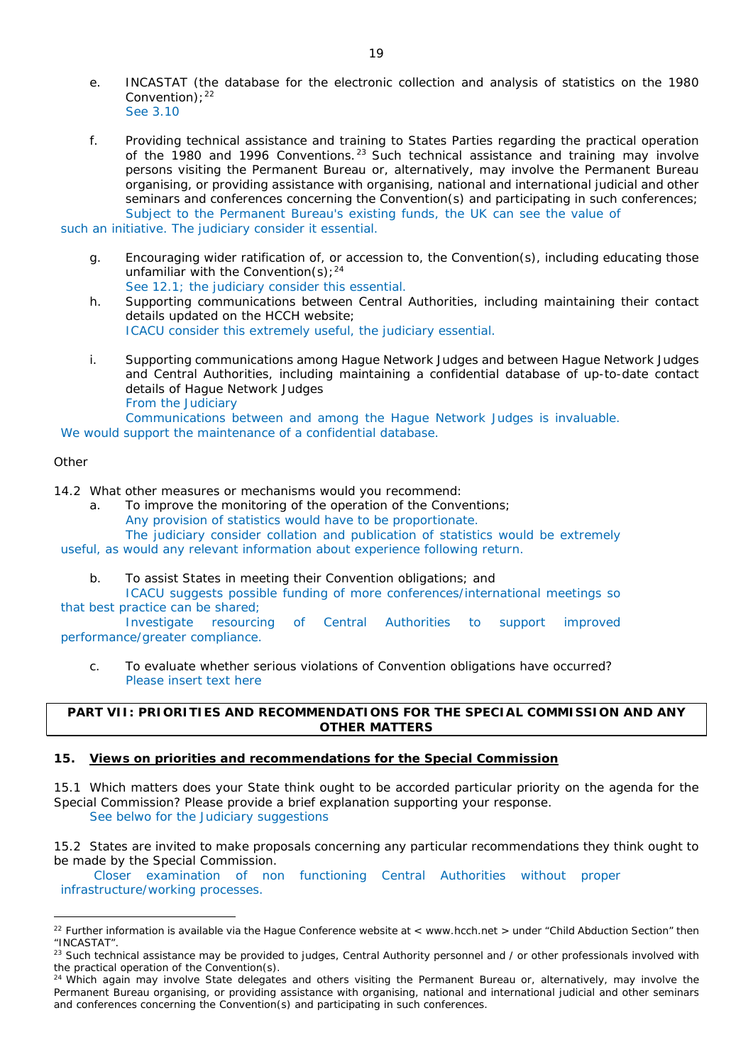- e. INCASTAT (the database for the electronic collection and analysis of statistics on the 1980 Convention):  $22$ See 3.10
- f. Providing technical assistance and training to States Parties regarding the practical operation of the 1980 and 1996 Conventions.<sup>23</sup> Such technical assistance and training may involve persons visiting the Permanent Bureau or, alternatively, may involve the Permanent Bureau organising, or providing assistance with organising, national and international judicial and other seminars and conferences concerning the Convention(s) and participating in such conferences; Subject to the Permanent Bureau's existing funds, the UK can see the value of

such an initiative. The judiciary consider it essential.

- g. Encouraging wider ratification of, or accession to, the Convention(s), including educating those unfamiliar with the Convention(s);  $24$ See 12.1; the judiciary consider this essential.
- h. Supporting communications between Central Authorities, including maintaining their contact details updated on the HCCH website; ICACU consider this extremely useful, the judiciary essential.
- i. Supporting communications among Hague Network Judges and between Hague Network Judges and Central Authorities, including maintaining a confidential database of up-to-date contact details of Hague Network Judges From the Judiciary

Communications between and among the Hague Network Judges is invaluable.

We would support the maintenance of a confidential database.

## *Other*

 $\overline{a}$ 

14.2 What other measures or mechanisms would you recommend:

a. To improve the monitoring of the operation of the Conventions; Any provision of statistics would have to be proportionate.

The judiciary consider collation and publication of statistics would be extremely

useful, as would any relevant information about experience following return.

b. To assist States in meeting their Convention obligations; and

ICACU suggests possible funding of more conferences/international meetings so that best practice can be shared;

Investigate resourcing of Central Authorities to support improved performance/greater compliance.

c. To evaluate whether serious violations of Convention obligations have occurred? Please insert text here

# **PART VII: PRIORITIES AND RECOMMENDATIONS FOR THE SPECIAL COMMISSION AND ANY OTHER MATTERS**

## **15. Views on priorities and recommendations for the Special Commission**

15.1 Which matters does your State think ought to be accorded particular priority on the agenda for the Special Commission? Please provide a brief explanation supporting your response. See belwo for the Judiciary suggestions

15.2 States are invited to make proposals concerning any particular recommendations they think ought to be made by the Special Commission.

Closer examination of non functioning Central Authorities without proper infrastructure/working processes.

 $22$  Further information is available via the Hague Conference website at < www.hcch.net > under "Child Abduction Section" then "INCASTAT".

<sup>&</sup>lt;sup>23</sup> Such technical assistance may be provided to judges, Central Authority personnel and / or other professionals involved with the practical operation of the Convention(s).

 $24$  Which again may involve State delegates and others visiting the Permanent Bureau or, alternatively, may involve the Permanent Bureau organising, or providing assistance with organising, national and international judicial and other seminars and conferences concerning the Convention(s) and participating in such conferences.